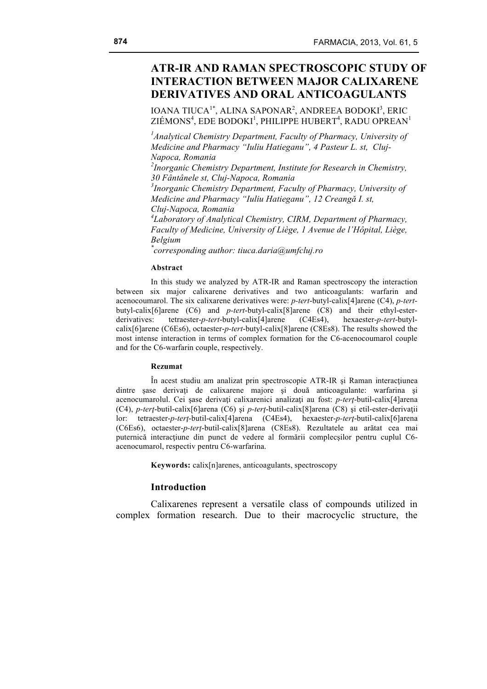# **ATR-IR AND RAMAN SPECTROSCOPIC STUDY OF INTERACTION BETWEEN MAJOR CALIXARENE DERIVATIVES AND ORAL ANTICOAGULANTS**

IOANA TIUCA<sup>1\*</sup>, ALINA SAPONAR<sup>2</sup>, ANDREEA BODOKI<sup>3</sup>, ERIC  $\rm{ZI}$ ÉMONS $^4$ , EDE BODOKI $^1$ , PHILIPPE HUBERT $^4$ , RADU OPREAN $^1$ 

<sup>1</sup> Analytical Chemistry Department, Faculty of Pharmacy, University of *Medicine and Pharmacy "Iuliu Hatieganu", 4 Pasteur L. st, Cluj-Napoca, Romania*

*2 Inorganic Chemistry Department, Institute for Research in Chemistry, 30 Fântânele st, Cluj-Napoca, Romania*

*3 Inorganic Chemistry Department, Faculty of Pharmacy, University of Medicine and Pharmacy "Iuliu Hatieganu", 12 Creangă I. st, Cluj-Napoca, Romania*

*4 Laboratory of Analytical Chemistry, CIRM, Department of Pharmacy, Faculty of Medicine, University of Liège, 1 Avenue de l'Hôpital, Liège, Belgium \**

*corresponding author: tiuca.daria@umfcluj.ro*

#### **Abstract**

In this study we analyzed by ATR-IR and Raman spectroscopy the interaction between six major calixarene derivatives and two anticoagulants: warfarin and acenocoumarol. The six calixarene derivatives were: *p-tert*-butyl-calix[4]arene (C4), *p-tert*butyl-calix[6]arene (C6) and *p-tert*-butyl-calix[8]arene (C8) and their ethyl-esterderivatives: tetraester-*p-tert*-butyl-calix[4]arene (C4Es4), hexaester-*p-tert*-butylcalix[6]arene (C6Es6), octaester-*p-tert*-butyl-calix[8]arene (C8Es8). The results showed the most intense interaction in terms of complex formation for the C6-acenocoumarol couple and for the C6-warfarin couple, respectively.

#### **Rezumat**

În acest studiu am analizat prin spectroscopie ATR-IR şi Raman interacţiunea dintre sase derivati de calixarene majore si două anticoagulante: warfarina si acenocumarolul. Cei sase derivati calixarenici analizati au fost: *p-tert*-butil-calix<sup>[4]</sup>arena (C4), *p-terţ*-butil-calix[6]arena (C6) şi *p-terţ*-butil-calix[8]arena (C8) şi etil-ester-derivaţii lor: tetraester-*p-terţ*-butil-calix[4]arena (C4Es4), hexaester-*p-terţ*-butil-calix[6]arena (C6Es6), octaester-*p-terţ*-butil-calix[8]arena (C8Es8). Rezultatele au arătat cea mai puternică interacțiune din punct de vedere al formării complecșilor pentru cuplul C6acenocumarol, respectiv pentru C6-warfarina.

**Keywords:** calix[n]arenes, anticoagulants, spectroscopy

### **Introduction**

Calixarenes represent a versatile class of compounds utilized in complex formation research. Due to their macrocyclic structure, the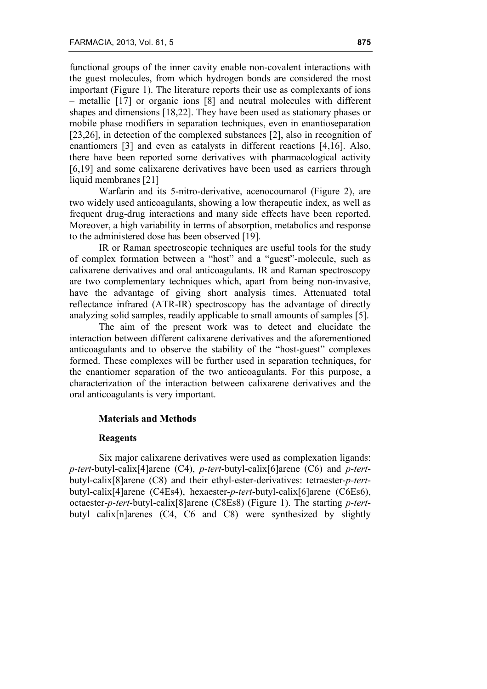functional groups of the inner cavity enable non-covalent interactions with the guest molecules, from which hydrogen bonds are considered the most important (Figure 1). The literature reports their use as complexants of ions – metallic [17] or organic ions [8] and neutral molecules with different shapes and dimensions [18,22]. They have been used as stationary phases or mobile phase modifiers in separation techniques, even in enantioseparation [23,26], in detection of the complexed substances [2], also in recognition of enantiomers [3] and even as catalysts in different reactions [4,16]. Also, there have been reported some derivatives with pharmacological activity [6,19] and some calixarene derivatives have been used as carriers through liquid membranes [21]

Warfarin and its 5-nitro-derivative, acenocoumarol (Figure 2), are two widely used anticoagulants, showing a low therapeutic index, as well as frequent drug-drug interactions and many side effects have been reported. Moreover, a high variability in terms of absorption, metabolics and response to the administered dose has been observed [19].

IR or Raman spectroscopic techniques are useful tools for the study of complex formation between a "host" and a "guest"-molecule, such as calixarene derivatives and oral anticoagulants. IR and Raman spectroscopy are two complementary techniques which, apart from being non-invasive, have the advantage of giving short analysis times. Attenuated total reflectance infrared (ATR-IR) spectroscopy has the advantage of directly analyzing solid samples, readily applicable to small amounts of samples [5].

The aim of the present work was to detect and elucidate the interaction between different calixarene derivatives and the aforementioned anticoagulants and to observe the stability of the "host-guest" complexes formed. These complexes will be further used in separation techniques, for the enantiomer separation of the two anticoagulants. For this purpose, a characterization of the interaction between calixarene derivatives and the oral anticoagulants is very important.

# **Materials and Methods**

#### **Reagents**

Six major calixarene derivatives were used as complexation ligands: *p-tert*-butyl-calix[4]arene (C4), *p-tert*-butyl-calix[6]arene (C6) and *p-tert*butyl-calix[8]arene (C8) and their ethyl-ester-derivatives: tetraester-*p-tert*butyl-calix[4]arene (C4Es4), hexaester-*p-tert*-butyl-calix[6]arene (C6Es6), octaester-*p-tert*-butyl-calix[8]arene (C8Es8) (Figure 1). The starting *p-tert*butyl calix[n]arenes (C4, C6 and C8) were synthesized by slightly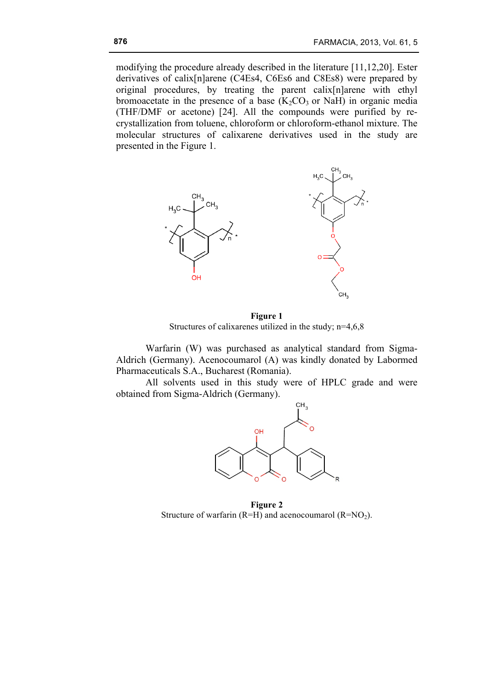modifying the procedure already described in the literature [11,12,20]. Ester derivatives of calix[n]arene (C4Es4, C6Es6 and C8Es8) were prepared by original procedures, by treating the parent calix[n]arene with ethyl bromoacetate in the presence of a base  $(K_2CO_3)$  or NaH) in organic media (THF/DMF or acetone) [24]. All the compounds were purified by recrystallization from toluene, chloroform or chloroform-ethanol mixture. The molecular structures of calixarene derivatives used in the study are presented in the Figure 1.



**Figure 1** Structures of calixarenes utilized in the study; n=4,6,8

Warfarin (W) was purchased as analytical standard from Sigma-Aldrich (Germany). Acenocoumarol (A) was kindly donated by Labormed Pharmaceuticals S.A., Bucharest (Romania).

All solvents used in this study were of HPLC grade and were obtained from Sigma-Aldrich (Germany).



**Figure 2** Structure of warfarin  $(R=H)$  and acenocoumarol  $(R=NO<sub>2</sub>)$ .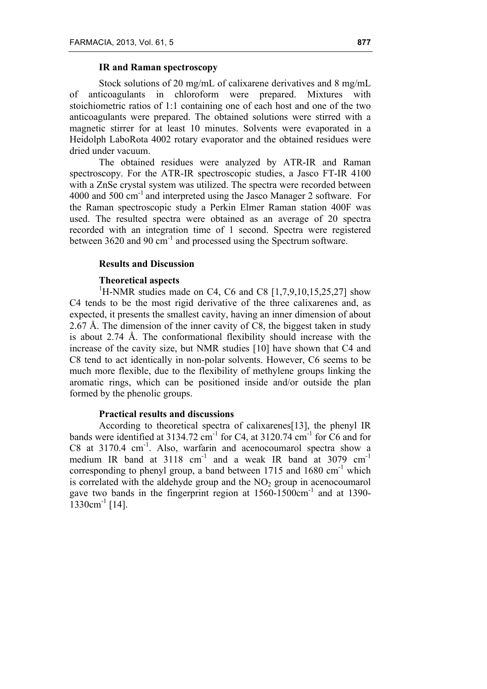# **IR and Raman spectroscopy**

Stock solutions of 20 mg/mL of calixarene derivatives and 8 mg/mL of anticoagulants in chloroform were prepared. Mixtures with stoichiometric ratios of 1:1 containing one of each host and one of the two anticoagulants were prepared. The obtained solutions were stirred with a magnetic stirrer for at least 10 minutes. Solvents were evaporated in a Heidolph LaboRota 4002 rotary evaporator and the obtained residues were dried under vacuum.

The obtained residues were analyzed by ATR-IR and Raman spectroscopy. For the ATR-IR spectroscopic studies, a Jasco FT-IR 4100 with a ZnSe crystal system was utilized. The spectra were recorded between 4000 and 500 cm<sup>-1</sup> and interpreted using the Jasco Manager 2 software. For the Raman spectroscopic study a Perkin Elmer Raman station 400F was used. The resulted spectra were obtained as an average of 20 spectra recorded with an integration time of 1 second. Spectra were registered between 3620 and 90 cm<sup>-1</sup> and processed using the Spectrum software.

### **Results and Discussion**

# **Theoretical aspects**

<sup>1</sup>H-NMR studies made on C4, C6 and C8 [1,7,9,10,15,25,27] show C4 tends to be the most rigid derivative of the three calixarenes and, as expected, it presents the smallest cavity, having an inner dimension of about 2.67 Å. The dimension of the inner cavity of C8, the biggest taken in study is about 2.74 Å. The conformational flexibility should increase with the increase of the cavity size, but NMR studies [10] have shown that C4 and C8 tend to act identically in non-polar solvents. However, C6 seems to be much more flexible, due to the flexibility of methylene groups linking the aromatic rings, which can be positioned inside and/or outside the plan formed by the phenolic groups.

# **Practical results and discussions**

According to theoretical spectra of calixarenes[13], the phenyl IR bands were identified at  $3134.72$  cm<sup>-1</sup> for C4, at  $3120.74$  cm<sup>-1</sup> for C6 and for C8 at 3170.4 cm<sup>-1</sup>. Also, warfarin and acenocoumarol spectra show a medium IR band at 3118 cm<sup>-1</sup> and a weak IR band at 3079 cm<sup>-1</sup> corresponding to phenyl group, a band between 1715 and 1680  $cm^{-1}$  which is correlated with the aldehyde group and the  $NO<sub>2</sub>$  group in acenocoumarol gave two bands in the fingerprint region at 1560-1500cm-1 and at 1390-  $1330 \text{cm}^{-1}$  [14].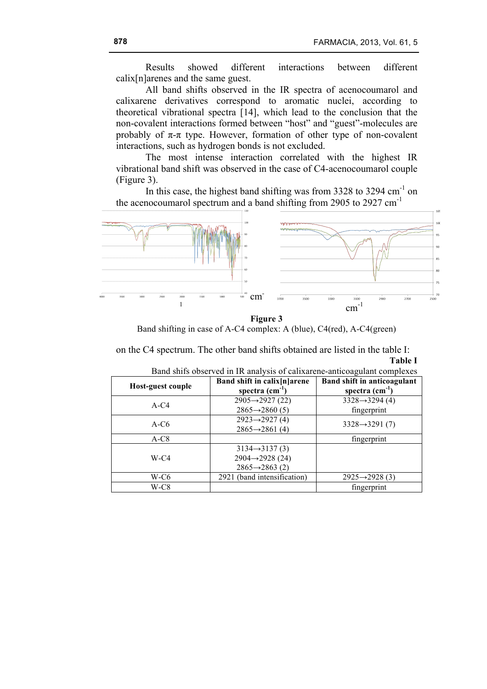Results showed different interactions between different calix[n]arenes and the same guest.

All band shifts observed in the IR spectra of acenocoumarol and calixarene derivatives correspond to aromatic nuclei, according to theoretical vibrational spectra [14], which lead to the conclusion that the non-covalent interactions formed between "host" and "guest"-molecules are probably of  $\pi$ - $\pi$  type. However, formation of other type of non-covalent interactions, such as hydrogen bonds is not excluded.

The most intense interaction correlated with the highest IR vibrational band shift was observed in the case of C4-acenocoumarol couple (Figure 3).

In this case, the highest band shifting was from 3328 to 3294  $cm^{-1}$  on the acenocoumarol spectrum and a band shifting from 2905 to 2927 cm-1



**Figure 3**

Band shifting in case of A-C4 complex: A (blue), C4(red), A-C4(green)

on the C4 spectrum. The other band shifts obtained are listed in the table I: **Table I**

| Host-guest couple | Band shift in calix[n]arene<br>spectra $(cm-1$ | <b>Band shift in anticoagulant</b><br>spectra $(cm^{-1})$ |
|-------------------|------------------------------------------------|-----------------------------------------------------------|
| $A-C4$            | $2905 \rightarrow 2927(22)$                    | $3328 \rightarrow 3294(4)$                                |
|                   | $2865 \rightarrow 2860(5)$                     | fingerprint                                               |
| $A-C6$            | $2923 \rightarrow 2927(4)$                     | $3328 \rightarrow 3291(7)$                                |
|                   | $2865 \rightarrow 2861(4)$                     |                                                           |
| $A-C8$            |                                                | fingerprint                                               |
| $W-C4$            | $3134 \rightarrow 3137(3)$                     |                                                           |
|                   | $2904 \rightarrow 2928(24)$                    |                                                           |
|                   | $2865 \rightarrow 2863(2)$                     |                                                           |
| W-C6              | 2921 (band intensification)                    | $2925 \rightarrow 2928(3)$                                |
| W-C8              |                                                | fingerprint                                               |

Band shifs observed in IR analysis of calixarene-anticoagulant complexes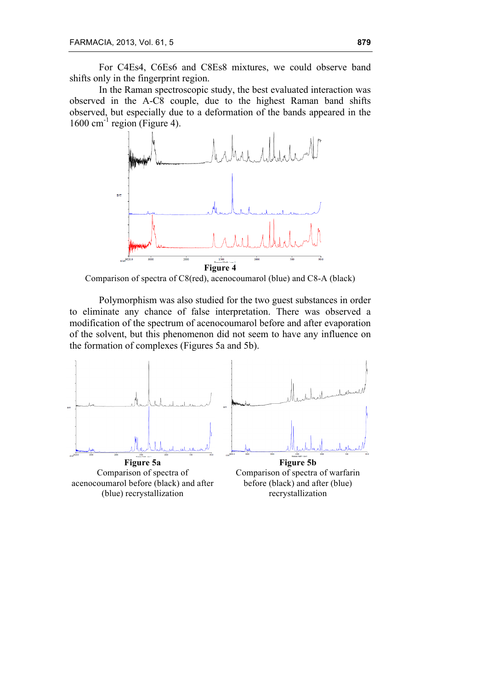For C4Es4, C6Es6 and C8Es8 mixtures, we could observe band shifts only in the fingerprint region.

In the Raman spectroscopic study, the best evaluated interaction was observed in the A-C8 couple, due to the highest Raman band shifts observed, but especially due to a deformation of the bands appeared in the  $1600 \text{ cm}^{-1}$  region (Figure 4).



Comparison of spectra of C8(red), acenocoumarol (blue) and C8-A (black)

Polymorphism was also studied for the two guest substances in order to eliminate any chance of false interpretation. There was observed a modification of the spectrum of acenocoumarol before and after evaporation of the solvent, but this phenomenon did not seem to have any influence on the formation of complexes (Figures 5a and 5b).



recrystallization

acenocoumarol before (black) and after (blue) recrystallization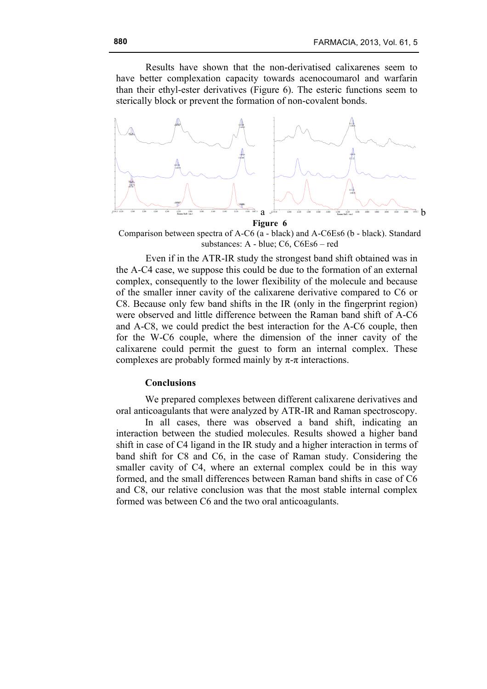Results have shown that the non-derivatised calixarenes seem to have better complexation capacity towards acenocoumarol and warfarin than their ethyl-ester derivatives (Figure 6). The esteric functions seem to sterically block or prevent the formation of non-covalent bonds.



**Figure 6**

Comparison between spectra of A-C6 (a - black) and A-C6Es6 (b - black). Standard substances: A - blue; C6, C6Es6 – red

Even if in the ATR-IR study the strongest band shift obtained was in the A-C4 case, we suppose this could be due to the formation of an external complex, consequently to the lower flexibility of the molecule and because of the smaller inner cavity of the calixarene derivative compared to C6 or C8. Because only few band shifts in the IR (only in the fingerprint region) were observed and little difference between the Raman band shift of A-C6 and A-C8, we could predict the best interaction for the A-C6 couple, then for the W-C6 couple, where the dimension of the inner cavity of the calixarene could permit the guest to form an internal complex. These complexes are probably formed mainly by  $\pi$ - $\pi$  interactions.

### **Conclusions**

We prepared complexes between different calixarene derivatives and oral anticoagulants that were analyzed by ATR-IR and Raman spectroscopy.

In all cases, there was observed a band shift, indicating an interaction between the studied molecules. Results showed a higher band shift in case of C4 ligand in the IR study and a higher interaction in terms of band shift for C8 and C6, in the case of Raman study. Considering the smaller cavity of C4, where an external complex could be in this way formed, and the small differences between Raman band shifts in case of C6 and C8, our relative conclusion was that the most stable internal complex formed was between C6 and the two oral anticoagulants.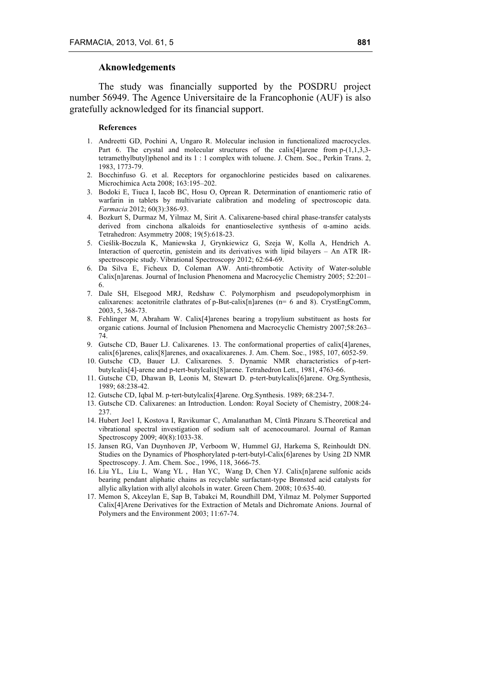#### **Aknowledgements**

The study was financially supported by the POSDRU project number 56949. The Agence Universitaire de la Francophonie (AUF) is also gratefully acknowledged for its financial support.

#### **References**

- 1. Andreetti GD, Pochini A, Ungaro R. Molecular inclusion in functionalized macrocycles. Part 6. The crystal and molecular structures of the calix [4] arene from p- $(1,1,3,3-1)$ tetramethylbutyl)phenol and its 1 : 1 complex with toluene. J. Chem. Soc., Perkin Trans. 2, 1983, 1773-79.
- 2. Bocchinfuso G. et al. Receptors for organochlorine pesticides based on calixarenes. Microchimica Acta 2008; 163:195–202.
- 3. Bodoki E, Tiuca I, Iacob BC, Hosu O, Oprean R. Determination of enantiomeric ratio of warfarin in tablets by multivariate calibration and modeling of spectroscopic data. *Farmacia* 2012; 60(3):386-93.
- 4. Bozkurt S, Durmaz M, Yilmaz M, Sirit A. Calixarene-based chiral phase-transfer catalysts derived from cinchona alkaloids for enantioselective synthesis of α-amino acids. Tetrahedron: Asymmetry 2008; 19(5):618-23.
- 5. Cieślik-Boczula K, Maniewska J, Grynkiewicz G, Szeja W, Kolla A, Hendrich A. Interaction of quercetin, genistein and its derivatives with lipid bilayers – An ATR IRspectroscopic study. Vibrational Spectroscopy 2012; 62:64-69.
- 6. Da Silva E, Ficheux D, Coleman AW. Anti-thrombotic Activity of Water-soluble Calix[n]arenas. Journal of Inclusion Phenomena and Macrocyclic Chemistry 2005; 52:201– 6.
- 7. Dale SH, Elsegood MRJ, Redshaw C. Polymorphism and pseudopolymorphism in calixarenes: acetonitrile clathrates of p-But-calix $[n]$ arenes ( $n=6$  and 8). CrystEngComm, 2003, 5, 368-73.
- 8. Fehlinger M, Abraham W. Calix[4]arenes bearing a tropylium substituent as hosts for organic cations. Journal of Inclusion Phenomena and Macrocyclic Chemistry 2007;58:263– 74.
- 9. Gutsche CD, Bauer LJ. Calixarenes. 13. The conformational properties of calix[4]arenes, calix[6]arenes, calix[8]arenes, and oxacalixarenes. J. Am. Chem. Soc., 1985, 107, 6052-59.
- 10. Gutsche CD, Bauer LJ. Calixarenes. 5. Dynamic NMR characteristics of p-tertbutylcalix[4]-arene and p-tert-butylcalix[8]arene. Tetrahedron Lett., 1981, 4763-66.
- 11. Gutsche CD, Dhawan B, Leonis M, Stewart D. p-tert-butylcalix[6]arene. Org.Synthesis, 1989; 68:238-42.
- 12. Gutsche CD, Iqbal M. p-tert-butylcalix[4]arene. Org.Synthesis. 1989; 68:234-7.
- 13. Gutsche CD. Calixarenes: an Introduction. London: Royal Society of Chemistry, 2008:24- 237.
- 14. Hubert Joe1 I, Kostova I, Ravikumar C, Amalanathan M, Cîntǎ Pînzaru S.Theoretical and vibrational spectral investigation of sodium salt of acenocoumarol. Journal of Raman Spectroscopy 2009; 40(8):1033-38.
- 15. Jansen RG, Van Duynhoven JP, Verboom W, Hummel GJ, Harkema S, Reinhouldt DN. Studies on the Dynamics of Phosphorylated p-tert-butyl-Calix[6]arenes by Using 2D NMR Spectroscopy. J. Am. Chem. Soc., 1996, 118, 3666-75.
- 16. Liu YL, Liu L, Wang YL , Han YC, Wang D, Chen YJ. Calix[n]arene sulfonic acids bearing pendant aliphatic chains as recyclable surfactant-type Brønsted acid catalysts for allylic alkylation with allyl alcohols in water. Green Chem. 2008; 10:635-40.
- 17. Memon S, Akceylan E, Sap B, Tabakci M, Roundhill DM, Yilmaz M. Polymer Supported Calix[4]Arene Derivatives for the Extraction of Metals and Dichromate Anions. Journal of Polymers and the Environment 2003; 11:67-74.